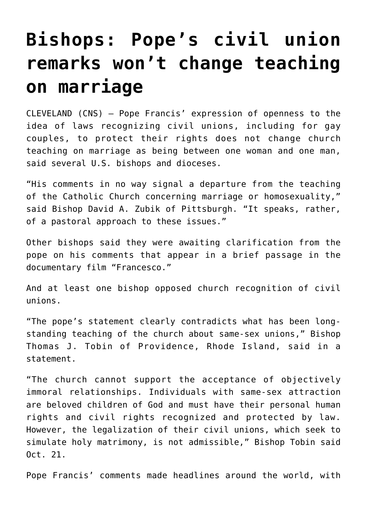## **[Bishops: Pope's civil union](https://www.osvnews.com/2020/10/23/bishops-popes-civil-union-remarks-wont-change-teaching-on-marriage/) [remarks won't change teaching](https://www.osvnews.com/2020/10/23/bishops-popes-civil-union-remarks-wont-change-teaching-on-marriage/) [on marriage](https://www.osvnews.com/2020/10/23/bishops-popes-civil-union-remarks-wont-change-teaching-on-marriage/)**

CLEVELAND (CNS) — Pope Francis' expression of openness to the idea of laws recognizing civil unions, including for gay couples, to protect their rights does not change church teaching on marriage as being between one woman and one man, said several U.S. bishops and dioceses.

"His comments in no way signal a departure from the teaching of the Catholic Church concerning marriage or homosexuality," said Bishop David A. Zubik of Pittsburgh. "It speaks, rather, of a pastoral approach to these issues."

Other bishops said they were awaiting clarification from the pope on his comments that appear in a brief passage in the documentary film "Francesco."

And at least one bishop opposed church recognition of civil unions.

"The pope's statement clearly contradicts what has been longstanding teaching of the church about same-sex unions," Bishop Thomas J. Tobin of Providence, Rhode Island, said in a statement.

"The church cannot support the acceptance of objectively immoral relationships. Individuals with same-sex attraction are beloved children of God and must have their personal human rights and civil rights recognized and protected by law. However, the legalization of their civil unions, which seek to simulate holy matrimony, is not admissible," Bishop Tobin said Oct. 21.

Pope Francis' comments made headlines around the world, with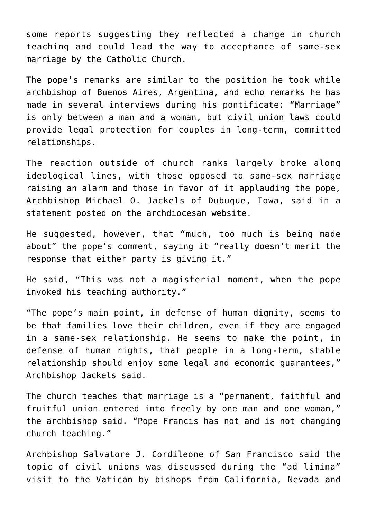some reports suggesting they reflected a change in church teaching and could lead the way to acceptance of same-sex marriage by the Catholic Church.

The pope's remarks are similar to the position he took while archbishop of Buenos Aires, Argentina, and echo remarks he has made in several interviews during his pontificate: "Marriage" is only between a man and a woman, but civil union laws could provide legal protection for couples in long-term, committed relationships.

The reaction outside of church ranks largely broke along ideological lines, with those opposed to same-sex marriage raising an alarm and those in favor of it applauding the pope, Archbishop Michael O. Jackels of Dubuque, Iowa, said in a statement posted on the archdiocesan website.

He suggested, however, that "much, too much is being made about" the pope's comment, saying it "really doesn't merit the response that either party is giving it."

He said, "This was not a magisterial moment, when the pope invoked his teaching authority."

"The pope's main point, in defense of human dignity, seems to be that families love their children, even if they are engaged in a same-sex relationship. He seems to make the point, in defense of human rights, that people in a long-term, stable relationship should enjoy some legal and economic guarantees," Archbishop Jackels said.

The church teaches that marriage is a "permanent, faithful and fruitful union entered into freely by one man and one woman," the archbishop said. "Pope Francis has not and is not changing church teaching."

Archbishop Salvatore J. Cordileone of San Francisco said the topic of civil unions was discussed during the "ad limina" visit to the Vatican by bishops from California, Nevada and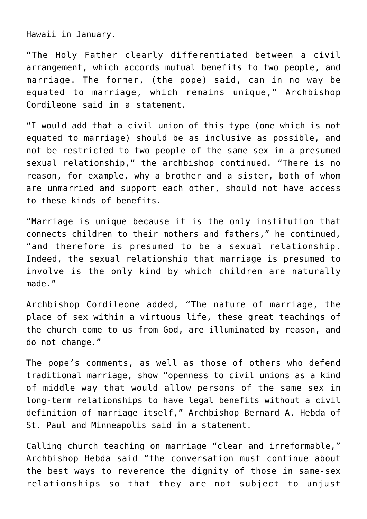Hawaii in January.

"The Holy Father clearly differentiated between a civil arrangement, which accords mutual benefits to two people, and marriage. The former, (the pope) said, can in no way be equated to marriage, which remains unique," Archbishop Cordileone said in a statement.

"I would add that a civil union of this type (one which is not equated to marriage) should be as inclusive as possible, and not be restricted to two people of the same sex in a presumed sexual relationship," the archbishop continued. "There is no reason, for example, why a brother and a sister, both of whom are unmarried and support each other, should not have access to these kinds of benefits.

"Marriage is unique because it is the only institution that connects children to their mothers and fathers," he continued, "and therefore is presumed to be a sexual relationship. Indeed, the sexual relationship that marriage is presumed to involve is the only kind by which children are naturally made."

Archbishop Cordileone added, "The nature of marriage, the place of sex within a virtuous life, these great teachings of the church come to us from God, are illuminated by reason, and do not change."

The pope's comments, as well as those of others who defend traditional marriage, show "openness to civil unions as a kind of middle way that would allow persons of the same sex in long-term relationships to have legal benefits without a civil definition of marriage itself," Archbishop Bernard A. Hebda of St. Paul and Minneapolis said in a statement.

Calling church teaching on marriage "clear and irreformable," Archbishop Hebda said "the conversation must continue about the best ways to reverence the dignity of those in same-sex relationships so that they are not subject to unjust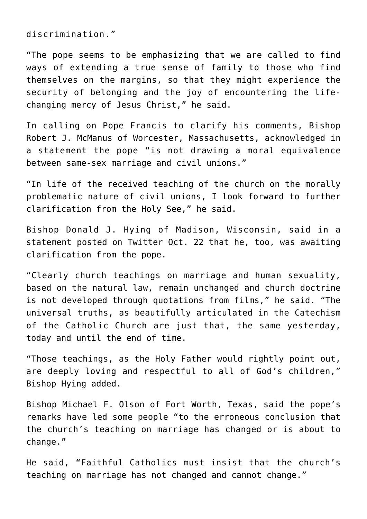discrimination."

"The pope seems to be emphasizing that we are called to find ways of extending a true sense of family to those who find themselves on the margins, so that they might experience the security of belonging and the joy of encountering the lifechanging mercy of Jesus Christ," he said.

In calling on Pope Francis to clarify his comments, Bishop Robert J. McManus of Worcester, Massachusetts, acknowledged in a statement the pope "is not drawing a moral equivalence between same-sex marriage and civil unions."

"In life of the received teaching of the church on the morally problematic nature of civil unions, I look forward to further clarification from the Holy See," he said.

Bishop Donald J. Hying of Madison, Wisconsin, said in a statement posted on Twitter Oct. 22 that he, too, was awaiting clarification from the pope.

"Clearly church teachings on marriage and human sexuality, based on the natural law, remain unchanged and church doctrine is not developed through quotations from films," he said. "The universal truths, as beautifully articulated in the Catechism of the Catholic Church are just that, the same yesterday, today and until the end of time.

"Those teachings, as the Holy Father would rightly point out, are deeply loving and respectful to all of God's children," Bishop Hying added.

Bishop Michael F. Olson of Fort Worth, Texas, said the pope's remarks have led some people "to the erroneous conclusion that the church's teaching on marriage has changed or is about to change."

He said, "Faithful Catholics must insist that the church's teaching on marriage has not changed and cannot change."